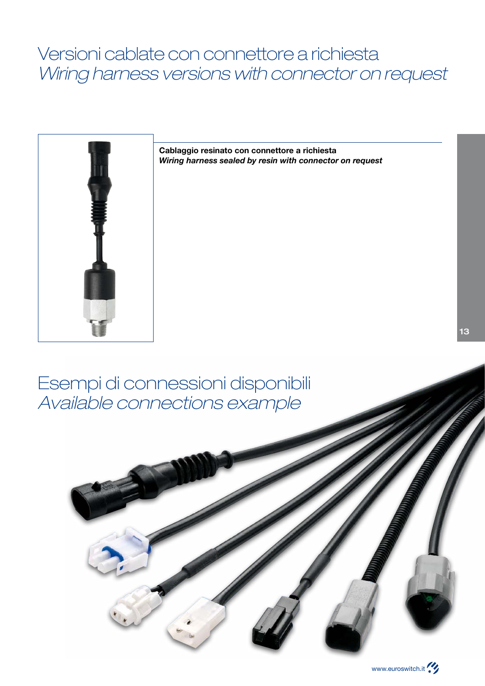## Versioni cablate con connettore a richiesta Wiring harness versions with connector on request



**Cablaggio resinato con connettore a richiesta** *Wiring harness sealed by resin with connector on request*

## Esempi di connessioni disponibili Available connections example





13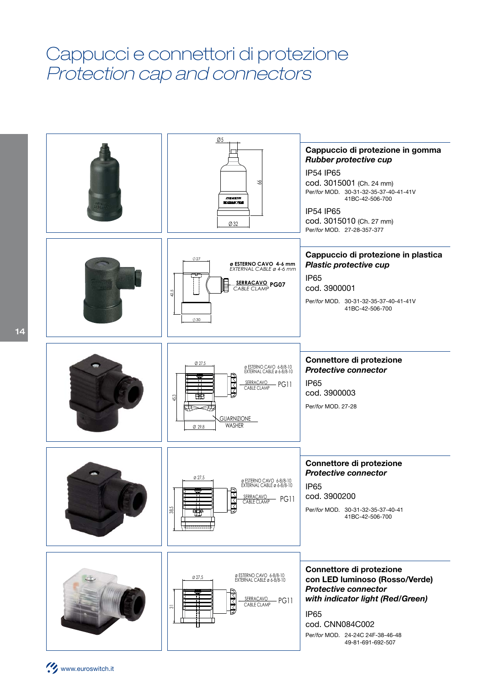## Cappucci e connettori di protezione Protection cap and connectors